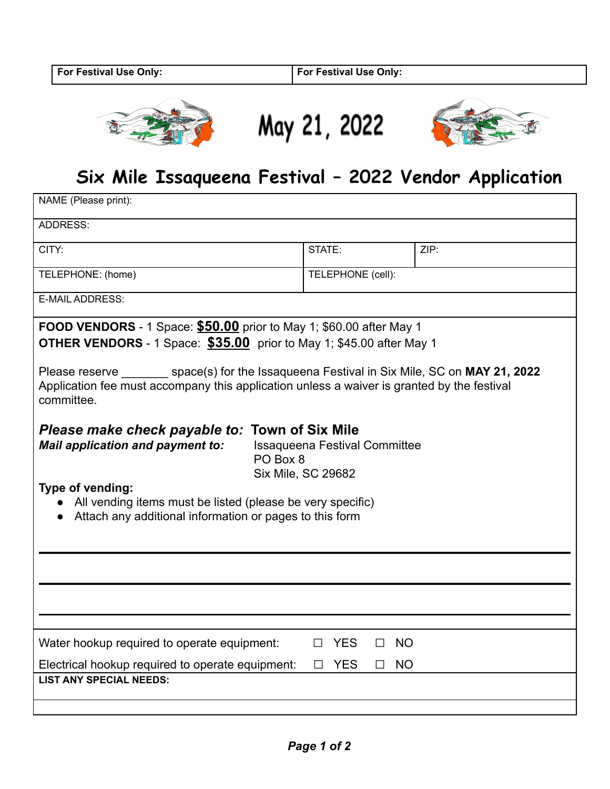





## **Six Mile Issaqueena Festival – 2022 Vendor Application**

| NAME (Please print):                                                                                                                                                                                                                                                                                                                                                                                                                                                                                                                                                                                                                                                                                   |                                                |                             |  |
|--------------------------------------------------------------------------------------------------------------------------------------------------------------------------------------------------------------------------------------------------------------------------------------------------------------------------------------------------------------------------------------------------------------------------------------------------------------------------------------------------------------------------------------------------------------------------------------------------------------------------------------------------------------------------------------------------------|------------------------------------------------|-----------------------------|--|
| <b>ADDRESS:</b>                                                                                                                                                                                                                                                                                                                                                                                                                                                                                                                                                                                                                                                                                        |                                                |                             |  |
| CITY:                                                                                                                                                                                                                                                                                                                                                                                                                                                                                                                                                                                                                                                                                                  | STATE:                                         | ZIP:                        |  |
| TELEPHONE: (home)                                                                                                                                                                                                                                                                                                                                                                                                                                                                                                                                                                                                                                                                                      | TELEPHONE (cell):                              |                             |  |
| E-MAIL ADDRESS:                                                                                                                                                                                                                                                                                                                                                                                                                                                                                                                                                                                                                                                                                        |                                                |                             |  |
| <b>FOOD VENDORS</b> - 1 Space: $$50.00$ prior to May 1; \$60.00 after May 1<br>OTHER VENDORS - 1 Space: \$35.00 prior to May 1; \$45.00 after May 1<br>Please reserve ________ space(s) for the Issaqueena Festival in Six Mile, SC on MAY 21, 2022<br>Application fee must accompany this application unless a waiver is granted by the festival<br>committee.<br><b>Town of Six Mile</b><br>Please make check payable to:<br><b>Mail application and payment to:</b><br><b>Issaqueena Festival Committee</b><br>PO Box 8<br><b>Six Mile, SC 29682</b><br>Type of vending:<br>• All vending items must be listed (please be very specific)<br>Attach any additional information or pages to this form |                                                |                             |  |
| Water hookup required to operate equipment:<br>Electrical hookup required to operate equipment:<br><b>LIST ANY SPECIAL NEEDS:</b>                                                                                                                                                                                                                                                                                                                                                                                                                                                                                                                                                                      | <b>YES</b><br>$\perp$<br><b>YES</b><br>$\perp$ | <b>NO</b><br>П<br><b>NO</b> |  |
|                                                                                                                                                                                                                                                                                                                                                                                                                                                                                                                                                                                                                                                                                                        |                                                |                             |  |